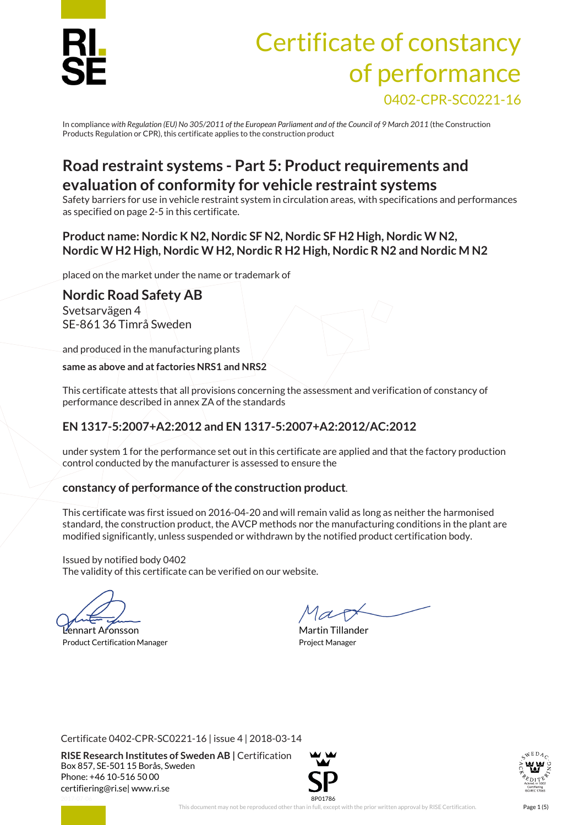

# Certificate of constancy of performance 0402-CPR-SC0221-16

In compliance *with Regulation (EU) No 305/2011 of the European Parliament and of the Council of 9 March 2011* (the Construction Products Regulation or CPR), this certificate applies to the construction product

### **Road restraint systems - Part 5: Product requirements and evaluation of conformity for vehicle restraint systems**

Safety barriers for use in vehicle restraint system in circulation areas, with specifications and performances as specified on page 2-5 in this certificate.

#### **Product name: Nordic K N2, Nordic SF N2, Nordic SF H2 High, Nordic W N2, Nordic W H2 High, Nordic W H2, Nordic R H2 High, Nordic R N2 and Nordic M N2**

placed on the market under the name or trademark of

**Nordic Road Safety AB** Svetsarvägen 4 SE-861 36 Timrå Sweden

and produced in the manufacturing plants

**same as above and at factories NRS1 and NRS2**

This certificate attests that all provisions concerning the assessment and verification of constancy of performance described in annex ZA of the standards

### **EN 1317-5:2007+A2:2012 and EN 1317-5:2007+A2:2012/AC:2012**

under system 1 for the performance set out in this certificate are applied and that the factory production control conducted by the manufacturer is assessed to ensure the

### **constancy of performance of the construction product**.

This certificate was first issued on 2016-04-20 and will remain valid as long as neither the harmonised standard, the construction product, the AVCP methods nor the manufacturing conditions in the plant are modified significantly, unless suspended or withdrawn by the notified product certification body.

Issued by notified body 0402 The validity of this certificate can be verified on our website.

Lennart Aronsson Martin Tillander Product Certification Manager **Product Certification Manager** Project Manager

Certificate 0402-CPR-SC0221-16 | issue 4 | 2018-03-14

**RISE Research Institutes of Sweden AB |** Certification Box 857, SE-501 15 Borås, Sweden Phone: +46 10-516 50 00 [certifiering@ri.se|](mailto:certifiering@ri.se) www.ri.se



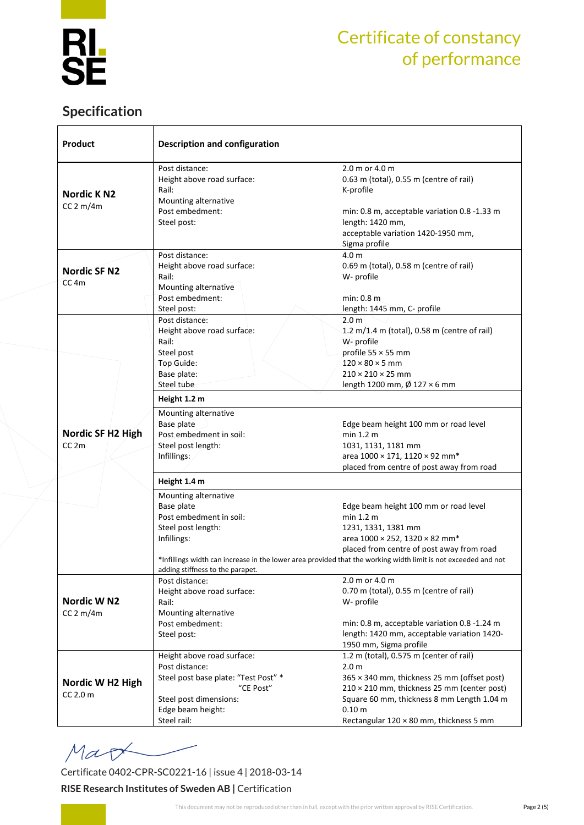

### **Specification**

| <b>Product</b>                          | <b>Description and configuration</b>                                                                                                                        |                                                                                                                       |  |  |  |
|-----------------------------------------|-------------------------------------------------------------------------------------------------------------------------------------------------------------|-----------------------------------------------------------------------------------------------------------------------|--|--|--|
| <b>Nordic KN2</b>                       | Post distance:<br>Height above road surface:<br>Rail:<br>Mounting alternative                                                                               | 2.0 m or 4.0 m<br>0.63 m (total), 0.55 m (centre of rail)<br>K-profile                                                |  |  |  |
| CC 2 m/4m                               | Post embedment:<br>Steel post:                                                                                                                              | min: 0.8 m, acceptable variation 0.8 -1.33 m<br>length: 1420 mm,<br>acceptable variation 1420-1950 mm,                |  |  |  |
|                                         |                                                                                                                                                             | Sigma profile                                                                                                         |  |  |  |
| <b>Nordic SF N2</b><br>CC <sub>4m</sub> | Post distance:<br>Height above road surface:<br>Rail:                                                                                                       | 4.0 <sub>m</sub><br>0.69 m (total), 0.58 m (centre of rail)<br>W- profile                                             |  |  |  |
|                                         | Mounting alternative<br>Post embedment:<br>Steel post:                                                                                                      | min: 0.8 m<br>length: 1445 mm, C- profile                                                                             |  |  |  |
|                                         | Post distance:<br>Height above road surface:<br>Rail:<br>Steel post                                                                                         | 2.0 <sub>m</sub><br>1.2 m/1.4 m (total), 0.58 m (centre of rail)<br>W- profile<br>profile 55 × 55 mm                  |  |  |  |
|                                         | Top Guide:<br>Base plate:<br>Steel tube                                                                                                                     | $120 \times 80 \times 5$ mm<br>$210 \times 210 \times 25$ mm<br>length 1200 mm, Ø 127 × 6 mm                          |  |  |  |
|                                         | Height 1.2 m                                                                                                                                                |                                                                                                                       |  |  |  |
|                                         | Mounting alternative<br>Base plate                                                                                                                          | Edge beam height 100 mm or road level                                                                                 |  |  |  |
| Nordic SF H2 High<br>CC <sub>2m</sub>   | Post embedment in soil:<br>Steel post length:                                                                                                               | min 1.2 m<br>1031, 1131, 1181 mm                                                                                      |  |  |  |
|                                         | Infillings:                                                                                                                                                 | area 1000 × 171, 1120 × 92 mm*<br>placed from centre of post away from road                                           |  |  |  |
|                                         | Height 1.4 m                                                                                                                                                |                                                                                                                       |  |  |  |
|                                         | Mounting alternative<br>Base plate<br>Post embedment in soil:                                                                                               | Edge beam height 100 mm or road level<br>min 1.2 m                                                                    |  |  |  |
|                                         | Steel post length:<br>Infillings:                                                                                                                           | 1231, 1331, 1381 mm<br>area 1000 × 252, 1320 × 82 mm*                                                                 |  |  |  |
|                                         | placed from centre of post away from road<br>*Infillings width can increase in the lower area provided that the working width limit is not exceeded and not |                                                                                                                       |  |  |  |
|                                         | adding stiffness to the parapet.<br>Post distance:                                                                                                          | 2.0 m or 4.0 m                                                                                                        |  |  |  |
| Nordic W <sub>N2</sub>                  | Height above road surface:<br>Rail:                                                                                                                         | 0.70 m (total), 0.55 m (centre of rail)<br>W- profile                                                                 |  |  |  |
| CC 2 m/4m                               | Mounting alternative<br>Post embedment:<br>Steel post:                                                                                                      | min: 0.8 m, acceptable variation 0.8 -1.24 m<br>length: 1420 mm, acceptable variation 1420-<br>1950 mm, Sigma profile |  |  |  |
|                                         | Height above road surface:<br>Post distance:                                                                                                                | 1.2 m (total), 0.575 m (center of rail)<br>2.0 <sub>m</sub>                                                           |  |  |  |
| Nordic W H2 High                        | Steel post base plate: "Test Post" *<br>"CE Post"                                                                                                           | 365 × 340 mm, thickness 25 mm (offset post)<br>210 × 210 mm, thickness 25 mm (center post)                            |  |  |  |
| CC 2.0 m                                | Steel post dimensions:<br>Edge beam height:                                                                                                                 | Square 60 mm, thickness 8 mm Length 1.04 m<br>0.10 <sub>m</sub>                                                       |  |  |  |
|                                         | Steel rail:                                                                                                                                                 | Rectangular $120 \times 80$ mm, thickness 5 mm                                                                        |  |  |  |

Mao

Certificate 0402-CPR-SC0221-16 | issue 4 | 2018-03-14

#### **RISE Research Institutes of Sweden AB |** Certification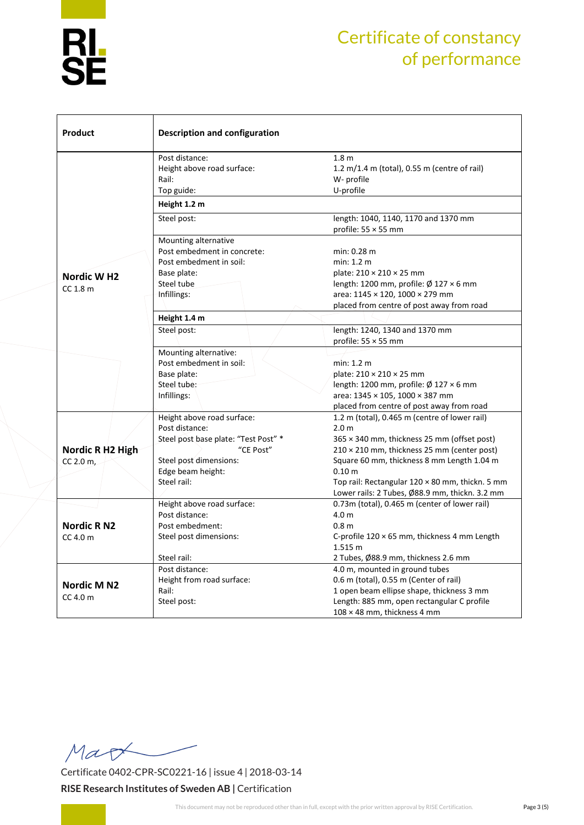

| Product                | <b>Description and configuration</b> |                                                     |  |  |  |
|------------------------|--------------------------------------|-----------------------------------------------------|--|--|--|
|                        | Post distance:                       | 1.8 <sub>m</sub>                                    |  |  |  |
|                        | Height above road surface:           | 1.2 m/1.4 m (total), 0.55 m (centre of rail)        |  |  |  |
|                        | Rail:                                | W- profile                                          |  |  |  |
|                        | Top guide:                           | U-profile                                           |  |  |  |
|                        | Height 1.2 m                         |                                                     |  |  |  |
|                        | Steel post:                          | length: 1040, 1140, 1170 and 1370 mm                |  |  |  |
|                        |                                      | profile: $55 \times 55$ mm                          |  |  |  |
|                        | Mounting alternative                 |                                                     |  |  |  |
|                        | Post embedment in concrete:          | min: 0.28 m                                         |  |  |  |
|                        | Post embedment in soil:              | min: 1.2 m                                          |  |  |  |
| Nordic W <sub>H2</sub> | Base plate:                          | plate: 210 × 210 × 25 mm                            |  |  |  |
| CC 1.8 m               | Steel tube                           | length: 1200 mm, profile: Ø 127 × 6 mm              |  |  |  |
|                        | Infillings:                          | area: 1145 × 120, 1000 × 279 mm                     |  |  |  |
|                        |                                      | placed from centre of post away from road           |  |  |  |
|                        | Height 1.4 m                         |                                                     |  |  |  |
|                        | Steel post:                          | length: 1240, 1340 and 1370 mm                      |  |  |  |
|                        |                                      | profile: $55 \times 55$ mm                          |  |  |  |
|                        | Mounting alternative:                |                                                     |  |  |  |
|                        | Post embedment in soil:              | min: 1.2 m                                          |  |  |  |
|                        | Base plate:                          | plate: 210 × 210 × 25 mm                            |  |  |  |
|                        | Steel tube:                          | length: 1200 mm, profile: $\varnothing$ 127 × 6 mm  |  |  |  |
|                        | Infillings:                          | area: 1345 × 105, 1000 × 387 mm                     |  |  |  |
|                        |                                      | placed from centre of post away from road           |  |  |  |
|                        | Height above road surface:           | 1.2 m (total), 0.465 m (centre of lower rail)       |  |  |  |
|                        | Post distance:                       | 2.0 <sub>m</sub>                                    |  |  |  |
|                        | Steel post base plate: "Test Post" * | 365 × 340 mm, thickness 25 mm (offset post)         |  |  |  |
| Nordic R H2 High       | "CE Post"                            | 210 × 210 mm, thickness 25 mm (center post)         |  |  |  |
| CC 2.0 m,              | Steel post dimensions:               | Square 60 mm, thickness 8 mm Length 1.04 m          |  |  |  |
|                        | Edge beam height:                    | 0.10 m                                              |  |  |  |
|                        | Steel rail:                          | Top rail: Rectangular 120 × 80 mm, thickn. 5 mm     |  |  |  |
|                        |                                      | Lower rails: 2 Tubes, Ø88.9 mm, thickn. 3.2 mm      |  |  |  |
|                        | Height above road surface:           | 0.73m (total), 0.465 m (center of lower rail)       |  |  |  |
|                        | Post distance:                       | 4.0 <sub>m</sub>                                    |  |  |  |
| <b>Nordic RN2</b>      | Post embedment:                      | 0.8 <sub>m</sub>                                    |  |  |  |
| $CC$ 4.0 m             | Steel post dimensions:               | C-profile $120 \times 65$ mm, thickness 4 mm Length |  |  |  |
|                        |                                      | 1.515 m                                             |  |  |  |
|                        | Steel rail:                          | 2 Tubes, Ø88.9 mm, thickness 2.6 mm                 |  |  |  |
|                        | Post distance:                       | 4.0 m, mounted in ground tubes                      |  |  |  |
|                        | Height from road surface:            | 0.6 m (total), 0.55 m (Center of rail)              |  |  |  |
| Nordic M N2            | Rail:                                | 1 open beam ellipse shape, thickness 3 mm           |  |  |  |
| $CC$ 4.0 m             | Steel post:                          | Length: 885 mm, open rectangular C profile          |  |  |  |
|                        |                                      |                                                     |  |  |  |
|                        |                                      | $108 \times 48$ mm, thickness 4 mm                  |  |  |  |

Mar

Certificate 0402-CPR-SC0221-16 | issue 4 | 2018-03-14 **RISE Research Institutes of Sweden AB |** Certification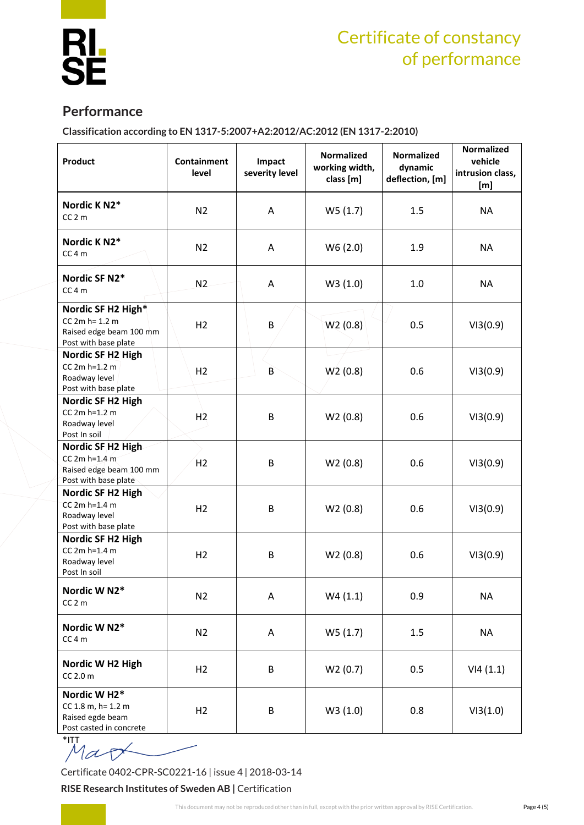

### **Performance**

**Classification according to EN 1317-5:2007+A2:2012/AC:2012 (EN 1317-2:2010)**

| Product                                                                                    | Containment<br>level | Impact<br>severity level | <b>Normalized</b><br>working width,<br>class [m] | <b>Normalized</b><br>dynamic<br>deflection, [m] | <b>Normalized</b><br>vehicle<br>intrusion class,<br>[m] |
|--------------------------------------------------------------------------------------------|----------------------|--------------------------|--------------------------------------------------|-------------------------------------------------|---------------------------------------------------------|
| Nordic K N2*<br>$CC2$ m                                                                    | N <sub>2</sub>       | A                        | W5(1.7)                                          | 1.5                                             | NA                                                      |
| Nordic K N2*<br>$CC4$ m                                                                    | N <sub>2</sub>       | A                        | W6(2.0)                                          | 1.9                                             | <b>NA</b>                                               |
| Nordic SF N2*<br>$CC4$ m                                                                   | N2                   | A                        | W3(1.0)                                          | 1.0                                             | NA                                                      |
| Nordic SF H2 High*<br>$CC 2m h = 1.2 m$<br>Raised edge beam 100 mm<br>Post with base plate | H <sub>2</sub>       | B                        | W2(0.8)                                          | 0.5                                             | VI3(0.9)                                                |
| Nordic SF H2 High<br>$CC 2m h=1.2 m$<br>Roadway level<br>Post with base plate              | H2                   | $\mathsf{B}$             | W <sup>2</sup> (0.8)                             | 0.6                                             | VI3(0.9)                                                |
| Nordic SF H2 High<br>$CC 2m h=1.2 m$<br>Roadway level<br>Post In soil                      | H <sub>2</sub>       | B                        | W2(0.8)                                          | 0.6                                             | VI3(0.9)                                                |
| Nordic SF H2 High<br>CC $2m h=1.4 m$<br>Raised edge beam 100 mm<br>Post with base plate    | H <sub>2</sub>       | B                        | W2(0.8)                                          | 0.6                                             | VI3(0.9)                                                |
| Nordic SF H2 High<br>$CC 2m h=1.4 m$<br>Roadway level<br>Post with base plate              | H2                   | B                        | W2(0.8)                                          | 0.6                                             | VI3(0.9)                                                |
| Nordic SF H2 High<br>CC 2m h=1.4 m<br>Roadway level<br>Post In soil                        | H2                   | B                        | W2(0.8)                                          | 0.6                                             | VI3(0.9)                                                |
| Nordic W N2*<br>$CC2$ m                                                                    | N <sub>2</sub>       | Α                        | W4(1.1)                                          | 0.9                                             | <b>NA</b>                                               |
| Nordic W N2*<br>CC 4 m                                                                     | N <sub>2</sub>       | Α                        | W5(1.7)                                          | 1.5                                             | <b>NA</b>                                               |
| Nordic W H2 High<br>CC 2.0 m                                                               | H2                   | B                        | W2(0.7)                                          | 0.5                                             | VI4(1.1)                                                |
| Nordic W H2*<br>CC 1.8 m, h= 1.2 m<br>Raised egde beam<br>Post casted in concrete          | H2                   | B                        | W3(1.0)                                          | 0.8                                             | VI3(1.0)                                                |

 $M$ at

Certificate 0402-CPR-SC0221-16 | issue 4 | 2018-03-14

**RISE Research Institutes of Sweden AB |** Certification